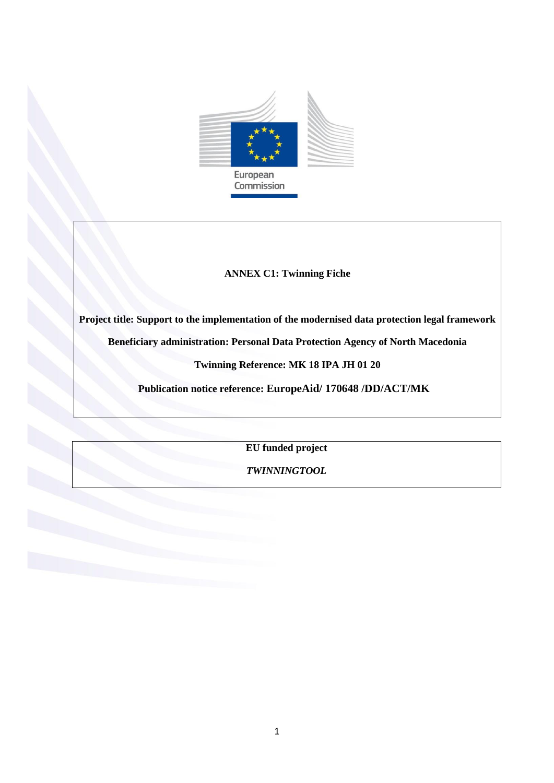

## **ANNEX C1: Twinning Fiche**

**Project title: Support to the implementation of the modernised data protection legal framework**

**Beneficiary administration: Personal Data Protection Agency of North Macedonia**

**Twinning Reference: MK 18 IPA JH 01 20**

**Publication notice reference: EuropeAid/ 170648 /DD/ACT/MK**

**EU funded project**

*TWINNINGTOOL*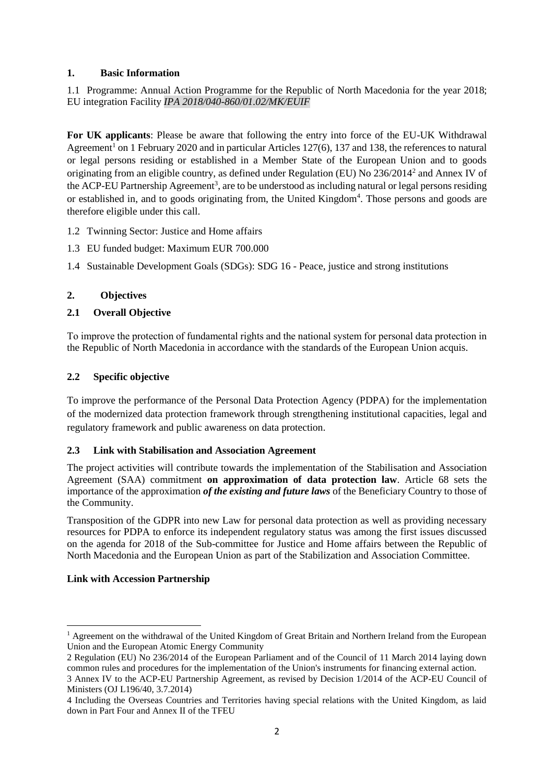## **1. Basic Information**

1.1 Programme: Annual Action Programme for the Republic of North Macedonia for the year 2018; EU integration Facility *IPA 2018/040-860/01.02/MK/EUIF*

**For UK applicants**: Please be aware that following the entry into force of the EU-UK Withdrawal Agreement<sup>1</sup> on 1 February 2020 and in particular Articles 127(6), 137 and 138, the references to natural or legal persons residing or established in a Member State of the European Union and to goods originating from an eligible country, as defined under Regulation (EU) No 236/2014<sup>2</sup> and Annex IV of the ACP-EU Partnership Agreement<sup>3</sup>, are to be understood as including natural or legal persons residing or established in, and to goods originating from, the United Kingdom<sup>4</sup>. Those persons and goods are therefore eligible under this call.

- 1.2 Twinning Sector: Justice and Home affairs
- 1.3 EU funded budget: Maximum EUR 700.000
- 1.4 Sustainable Development Goals (SDGs): SDG 16 Peace, justice and strong institutions

# **2. Objectives**

# **2.1 Overall Objective**

Тo improve the protection of fundamental rights and the national system for personal data protection in the Republic of North Macedonia in accordance with the standards of the European Union acquis.

# **2.2 Specific objective**

To improve the performance of the Personal Data Protection Agency (PDPA) for the implementation of the modernized data protection framework through strengthening institutional capacities, legal and regulatory framework and public awareness on data protection.

## **2.3 Link with Stabilisation and Association Agreement**

The project activities will contribute towards the implementation of the Stabilisation and Association Agreement (SAA) commitment **on approximation of data protection law**. Article 68 sets the importance of the approximation *of the existing and future laws* of the Beneficiary Country to those of the Community.

Transposition of the GDPR into new Law for personal data protection as well as providing necessary resources for PDPA to enforce its independent regulatory status was among the first issues discussed on the agenda for 2018 of the Sub-committee for Justice and Home affairs between the Republic of North Macedonia and the European Union as part of the Stabilization and Association Committee.

## **Link with Accession Partnership**

<sup>1</sup>  $<sup>1</sup>$  Agreement on the withdrawal of the United Kingdom of Great Britain and Northern Ireland from the European</sup> Union and the European Atomic Energy Community

<sup>2</sup> Regulation (EU) No 236/2014 of the European Parliament and of the Council of 11 March 2014 laying down common rules and procedures for the implementation of the Union's instruments for financing external action.

<sup>3</sup> Annex IV to the ACP-EU Partnership Agreement, as revised by Decision 1/2014 of the ACP-EU Council of Ministers (OJ L196/40, 3.7.2014)

<sup>4</sup> Including the Overseas Countries and Territories having special relations with the United Kingdom, as laid down in Part Four and Annex II of the TFEU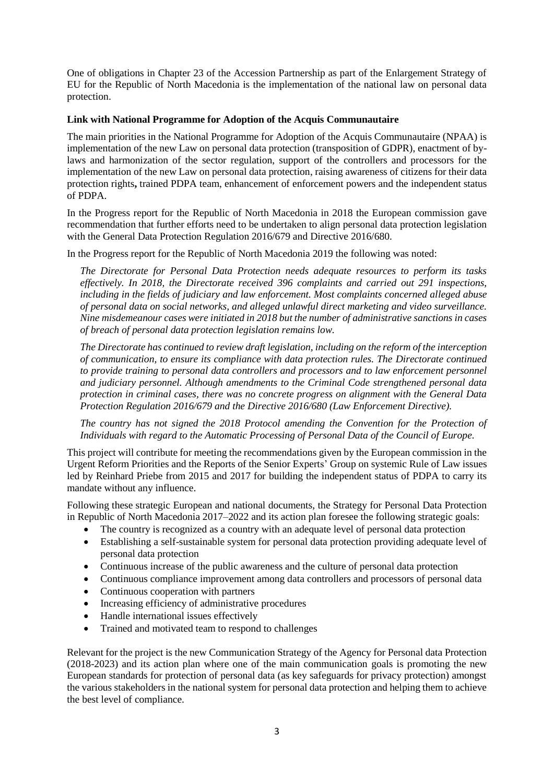One of obligations in Chapter 23 of the Accession Partnership as part of the Enlargement Strategy of EU for the Republic of North Macedonia is the implementation of the national law on personal data protection.

### **Link with National Programme for Adoption of the Acquis Communautaire**

The main priorities in the National Programme for Adoption of the Acquis Communautaire (NPAA) is implementation of the new Law on personal data protection (transposition of GDPR), enactment of bylaws and harmonization of the sector regulation, support of the controllers and processors for the implementation of the new Law on personal data protection, raising awareness of citizens for their data protection rights**,** trained PDPA team, enhancement of enforcement powers and the independent status of PDPA.

In the Progress report for the Republic of North Macedonia in 2018 the European commission gave recommendation that further efforts need to be undertaken to align personal data protection legislation with the General Data Protection Regulation 2016/679 and Directive 2016/680.

In the Progress report for the Republic of North Macedonia 2019 the following was noted:

*The Directorate for Personal Data Protection needs adequate resources to perform its tasks effectively. In 2018, the Directorate received 396 complaints and carried out 291 inspections, including in the fields of judiciary and law enforcement. Most complaints concerned alleged abuse of personal data on social networks, and alleged unlawful direct marketing and video surveillance. Nine misdemeanour cases were initiated in 2018 but the number of administrative sanctions in cases of breach of personal data protection legislation remains low.*

*The Directorate has continued to review draft legislation, including on the reform of the interception of communication, to ensure its compliance with data protection rules. The Directorate continued to provide training to personal data controllers and processors and to law enforcement personnel and judiciary personnel. Although amendments to the Criminal Code strengthened personal data protection in criminal cases, there was no concrete progress on alignment with the General Data Protection Regulation 2016/679 and the Directive 2016/680 (Law Enforcement Directive).*

*The country has not signed the 2018 Protocol amending the Convention for the Protection of Individuals with regard to the Automatic Processing of Personal Data of the Council of Europe.*

This project will contribute for meeting the recommendations given by the European commission in the Urgent Reform Priorities and the Reports of the Senior Experts' Group on systemic Rule of Law issues led by Reinhard Priebe from 2015 and 2017 for building the independent status of PDPA to carry its mandate without any influence.

Following these strategic European and national documents, the Strategy for Personal Data Protection in Republic of North Macedonia 2017–2022 and its action plan foresee the following strategic goals:

- The country is recognized as a country with an adequate level of personal data protection
- Establishing a self-sustainable system for personal data protection providing adequate level of personal data protection
- Continuous increase of the public awareness and the culture of personal data protection
- Continuous compliance improvement among data controllers and processors of personal data
- Continuous cooperation with partners
- Increasing efficiency of administrative procedures
- Handle international issues effectively
- Trained and motivated team to respond to challenges

Relevant for the project is the new Communication Strategy of the Agency for Personal data Protection (2018-2023) and its action plan where one of the main communication goals is promoting the new European standards for protection of personal data (as key safeguards for privacy protection) amongst the various stakeholders in the national system for personal data protection and helping them to achieve the best level of compliance.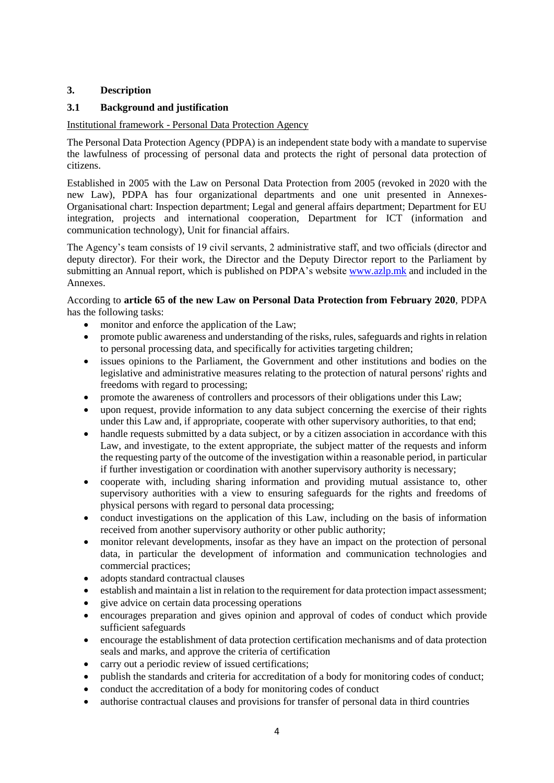## **3. Description**

## **3.1 Background and justification**

## Institutional framework - Personal Data Protection Agency

The Personal Data Protection Agency (PDPA) is an independent state body with a mandate to supervise the lawfulness of processing of personal data and protects the right of personal data protection of citizens.

Established in 2005 with the Law on Personal Data Protection from 2005 (revoked in 2020 with the new Law), PDPA has four organizational departments and one unit presented in Annexes-Organisational chart: Inspection department; Legal and general affairs department; Department for EU integration, projects and international cooperation, Department for ICT (information and communication technology), Unit for financial affairs.

The Agency's team consists of 19 civil servants, 2 administrative staff, and two officials (director and deputy director). For their work, the Director and the Deputy Director report to the Parliament by submitting an Annual report, which is published on PDPA's website [www.azlp.mk](http://www.azlp.mk/) and included in the Annexes.

### According to **article 65 of the new Law on Personal Data Protection from February 2020**, PDPA has the following tasks:

- monitor and enforce the application of the Law;
- promote public awareness and understanding of the risks, rules, safeguards and rights in relation to personal processing data, and specifically for activities targeting children;
- issues opinions to the Parliament, the Government and other institutions and bodies on the legislative and administrative measures relating to the protection of natural persons' rights and freedoms with regard to processing;
- promote the awareness of controllers and processors of their obligations under this Law;
- upon request, provide information to any data subject concerning the exercise of their rights under this Law and, if appropriate, cooperate with other supervisory authorities, to that end;
- $\bullet$  handle requests submitted by a data subject, or by a citizen association in accordance with this Law, and investigate, to the extent appropriate, the subject matter of the requests and inform the requesting party of the outcome of the investigation within a reasonable period, in particular if further investigation or coordination with another supervisory authority is necessary;
- cooperate with, including sharing information and providing mutual assistance to, other supervisory authorities with a view to ensuring safeguards for the rights and freedoms of physical persons with regard to personal data processing;
- conduct investigations on the application of this Law, including on the basis of information received from another supervisory authority or other public authority;
- monitor relevant developments, insofar as they have an impact on the protection of personal data, in particular the development of information and communication technologies and commercial practices;
- adopts standard contractual clauses
- establish and maintain a list in relation to the requirement for data protection impact assessment;
- give advice on certain data processing operations
- encourages preparation and gives opinion and approval of codes of conduct which provide sufficient safeguards
- encourage the establishment of data protection certification mechanisms and of data protection seals and marks, and approve the criteria of certification
- carry out a periodic review of issued certifications;
- publish the standards and criteria for accreditation of a body for monitoring codes of conduct;
- conduct the accreditation of a body for monitoring codes of conduct
- authorise contractual clauses and provisions for transfer of personal data in third countries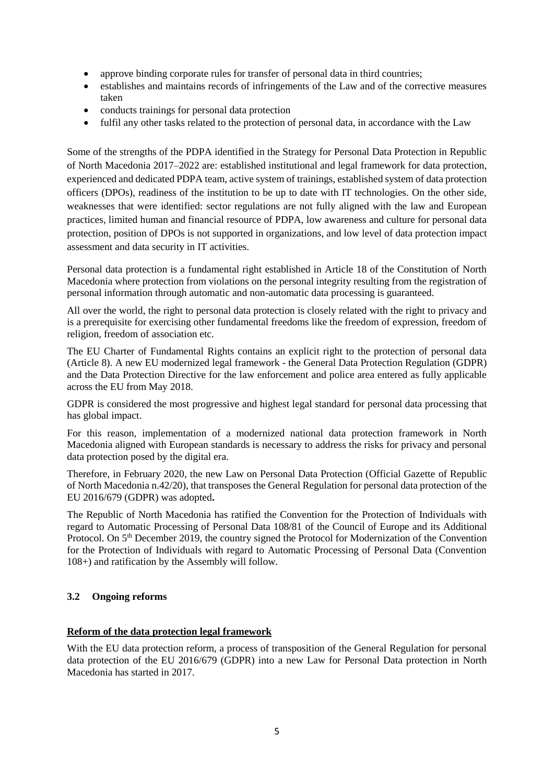- approve binding corporate rules for transfer of personal data in third countries;
- establishes and maintains records of infringements of the Law and of the corrective measures taken
- conducts trainings for personal data protection
- fulfil any other tasks related to the protection of personal data, in accordance with the Law

Some of the strengths of the PDPA identified in the Strategy for Personal Data Protection in Republic of North Macedonia 2017–2022 are: established institutional and legal framework for data protection, experienced and dedicated PDPA team, active system of trainings, established system of data protection officers (DPOs), readiness of the institution to be up to date with IT technologies. On the other side, weaknesses that were identified: sector regulations are not fully aligned with the law and European practices, limited human and financial resource of PDPA, low awareness and culture for personal data protection, position of DPOs is not supported in organizations, and low level of data protection impact assessment and data security in IT activities.

Personal data protection is a fundamental right established in Article 18 of the Constitution of North Macedonia where protection from violations on the personal integrity resulting from the registration of personal information through automatic and non-automatic data processing is guaranteed.

All over the world, the right to personal data protection is closely related with the right to privacy and is a prerequisite for exercising other fundamental freedoms like the freedom of expression, freedom of religion, freedom of association etc.

The EU Charter of Fundamental Rights contains an explicit right to the protection of personal data (Article 8). A new EU modernized legal framework - the General Data Protection Regulation (GDPR) and the Data Protection Directive for the law enforcement and police area entered as fully applicable across the EU from May 2018.

GDPR is considered the most progressive and highest legal standard for personal data processing that has global impact.

For this reason, implementation of a modernized national data protection framework in North Macedonia aligned with European standards is necessary to address the risks for privacy and personal data protection posed by the digital era.

Therefore, in February 2020, the new Law on Personal Data Protection (Official Gazette of Republic of North Macedonia n.42/20), that transposes the General Regulation for personal data protection of the EU 2016/679 (GDPR) was adopted**.** 

The Republic of North Macedonia has ratified the Convention for the Protection of Individuals with regard to Automatic Processing of Personal Data 108/81 of the Council of Europe and its Additional Protocol. On 5<sup>th</sup> December 2019, the country signed the Protocol for Modernization of the Convention for the Protection of Individuals with regard to Automatic Processing of Personal Data (Convention 108+) and ratification by the Assembly will follow.

## **3.2 Ongoing reforms**

### **Reform of the data protection legal framework**

With the EU data protection reform, a process of transposition of the General Regulation for personal data protection of the EU 2016/679 (GDPR) into a new Law for Personal Data protection in North Macedonia has started in 2017.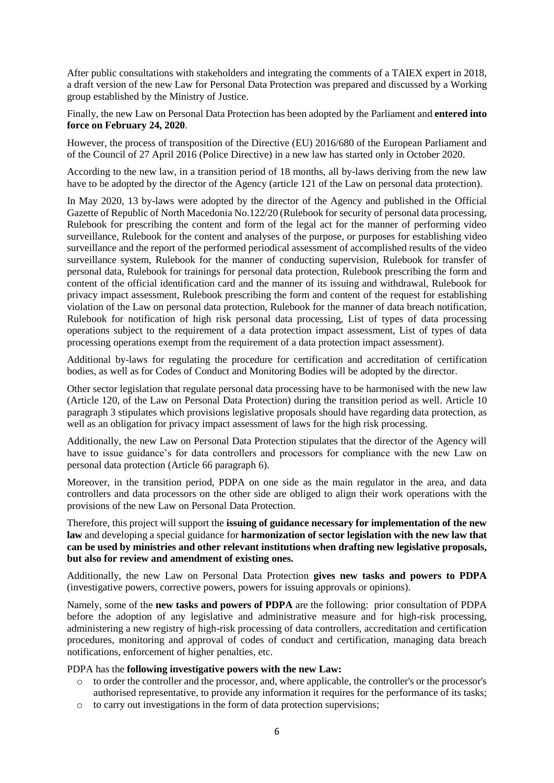After public consultations with stakeholders and integrating the comments of a TAIEX expert in 2018, a draft version of the new Law for Personal Data Protection was prepared and discussed by a Working group established by the Ministry of Justice.

Finally, the new Law on Personal Data Protection has been adopted by the Parliament and **entered into force on February 24, 2020**.

However, the process of transposition of the Directive (EU) 2016/680 of the European Parliament and of the Council of 27 April 2016 (Police Directive) in a new law has started only in October 2020.

According to the new law, in a transition period of 18 months, all by-laws deriving from the new law have to be adopted by the director of the Agency (article 121 of the Law on personal data protection).

In May 2020, 13 by-laws were adopted by the director of the Agency and published in the Official Gazette of Republic of North Macedonia No.122/20 (Rulebook for security of personal data processing, Rulebook for prescribing the content and form of the legal act for the manner of performing video surveillance, Rulebook for the content and analyses of the purpose, or purposes for establishing video surveillance and the report of the performed periodical assessment of accomplished results of the video surveillance system, Rulebook for the manner of conducting supervision, Rulebook for transfer of personal data, Rulebook for trainings for personal data protection, Rulebook prescribing the form and content of the official identification card and the manner of its issuing and withdrawal, Rulebook for privacy impact assessment, Rulebook prescribing the form and content of the request for establishing violation of the Law on personal data protection, Rulebook for the manner of data breach notification, Rulebook for notification of high risk personal data processing, List of types of data processing operations subject to the requirement of a data protection impact assessment, List of types of data processing operations exempt from the requirement of a data protection impact assessment).

Additional by-laws for regulating the procedure for certification and accreditation of certification bodies, as well as for Codes of Conduct and Monitoring Bodies will be adopted by the director.

Other sector legislation that regulate personal data processing have to be harmonised with the new law (Article 120, of the Law on Personal Data Protection) during the transition period as well. Article 10 paragraph 3 stipulates which provisions legislative proposals should have regarding data protection, as well as an obligation for privacy impact assessment of laws for the high risk processing.

Additionally, the new Law on Personal Data Protection stipulates that the director of the Agency will have to issue guidance's for data controllers and processors for compliance with the new Law on personal data protection (Article 66 paragraph 6).

Moreover, in the transition period, PDPA on one side as the main regulator in the area, and data controllers and data processors on the other side are obliged to align their work operations with the provisions of the new Law on Personal Data Protection.

Therefore, this project will support the **issuing of guidance necessary for implementation of the new law** and developing a special guidance for **harmonization of sector legislation with the new law that can be used by ministries and other relevant institutions when drafting new legislative proposals, but also for review and amendment of existing ones.** 

Additionally, the new Law on Personal Data Protection **gives new tasks and powers to PDPA** (investigative powers, corrective powers, powers for issuing approvals or opinions).

Namely, some of the **new tasks and powers of PDPA** are the following: prior consultation of PDPA before the adoption of any legislative and administrative measure and for high-risk processing, administering a new registry of high-risk processing of data controllers, accreditation and certification procedures, monitoring and approval of codes of conduct and certification, managing data breach notifications, enforcement of higher penalties, etc.

PDPA has the **following investigative powers with the new Law:**

- o to order the controller and the processor, and, where applicable, the controller's or the processor's authorised representative, to provide any information it requires for the performance of its tasks;
- o to carry out investigations in the form of data protection supervisions;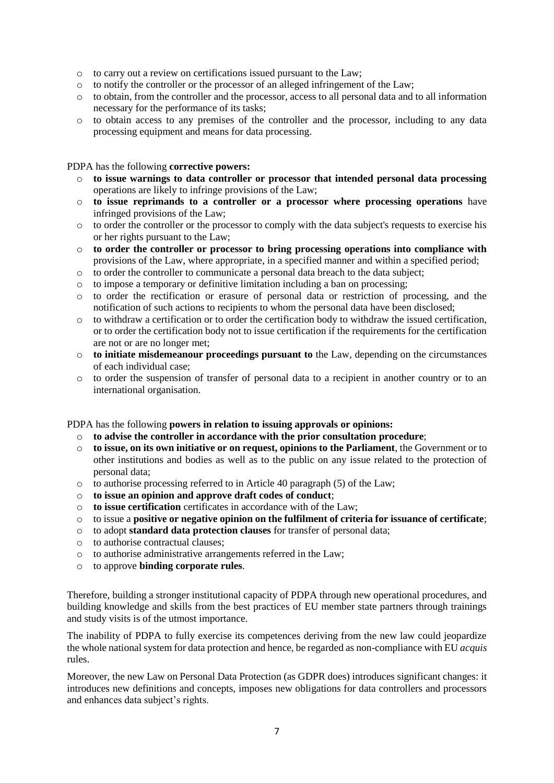- o to carry out a review on certifications issued pursuant to the Law;
- o to notify the controller or the processor of an alleged infringement of the Law;
- o to obtain, from the controller and the processor, access to all personal data and to all information necessary for the performance of its tasks;
- o to obtain access to any premises of the controller and the processor, including to any data processing equipment and means for data processing.

#### PDPA has the following **corrective powers:**

- o **to issue warnings to data controller or processor that intended personal data processing** operations are likely to infringe provisions of the Law;
- o **to issue reprimands to a controller or a processor where processing operations** have infringed provisions of the Law;
- o to order the controller or the processor to comply with the data subject's requests to exercise his or her rights pursuant to the Law;
- o **to order the controller or processor to bring processing operations into compliance with** provisions of the Law, where appropriate, in a specified manner and within a specified period;
- $\circ$  to order the controller to communicate a personal data breach to the data subject;
- o to impose a temporary or definitive limitation including a ban on processing;
- o to order the rectification or erasure of personal data or restriction of processing, and the notification of such actions to recipients to whom the personal data have been disclosed;
- o to withdraw a certification or to order the certification body to withdraw the issued certification, or to order the certification body not to issue certification if the requirements for the certification are not or are no longer met;
- o **to initiate misdemeanour proceedings pursuant to** the Law, depending on the circumstances of each individual case;
- o to order the suspension of transfer of personal data to a recipient in another country or to an international organisation.

### PDPA has the following **powers in relation to issuing approvals or opinions:**

- o **to advise the controller in accordance with the prior consultation procedure**;
- o **to issue, on its own initiative or on request, opinions to the Parliament**, the Government or to other institutions and bodies as well as to the public on any issue related to the protection of personal data;
- o to authorise processing referred to in Article 40 paragraph (5) of the Law;
- o **to issue an opinion and approve draft codes of conduct**;
- o **to issue certification** certificates in accordance with of the Law;
- o to issue a **positive or negative opinion on the fulfilment of criteria for issuance of certificate**;
- o to adopt **standard data protection clauses** for transfer of personal data;
- o to authorise contractual clauses;
- o to authorise administrative arrangements referred in the Law;
- o to approve **binding corporate rules**.

Therefore, building a stronger institutional capacity of PDPA through new operational procedures, and building knowledge and skills from the best practices of EU member state partners through trainings and study visits is of the utmost importance.

The inability of PDPA to fully exercise its competences deriving from the new law could jeopardize the whole national system for data protection and hence, be regarded as non-compliance with EU *acquis* rules.

Moreover, the new Law on Personal Data Protection (as GDPR does) introduces significant changes: it introduces new definitions and concepts, imposes new obligations for data controllers and processors and enhances data subject's rights.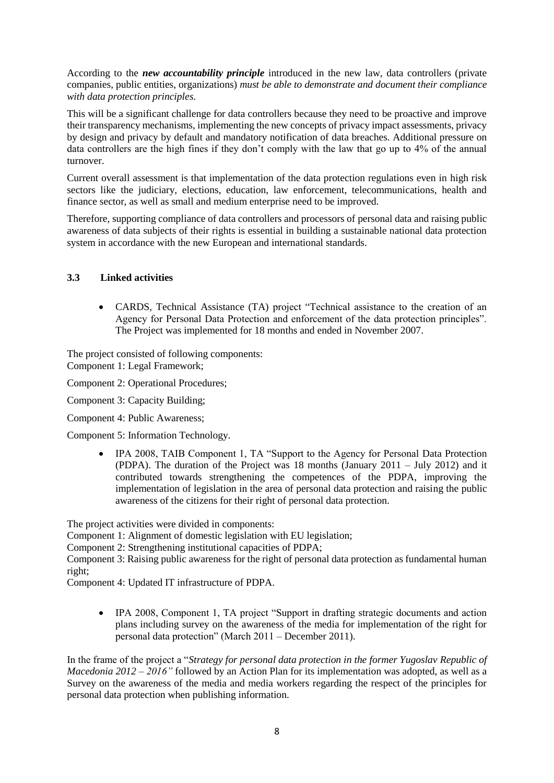According to the *new accountability principle* introduced in the new law, data controllers (private companies, public entities, organizations) *must be able to demonstrate and document their compliance with data protection principles.*

This will be a significant challenge for data controllers because they need to be proactive and improve their transparency mechanisms, implementing the new concepts of privacy impact assessments, privacy by design and privacy by default and mandatory notification of data breaches. Additional pressure on data controllers are the high fines if they don't comply with the law that go up to 4% of the annual turnover.

Current overall assessment is that implementation of the data protection regulations even in high risk sectors like the judiciary, elections, education, law enforcement, telecommunications, health and finance sector, as well as small and medium enterprise need to be improved.

Therefore, supporting compliance of data controllers and processors of personal data and raising public awareness of data subjects of their rights is essential in building a sustainable national data protection system in accordance with the new European and international standards.

### **3.3 Linked activities**

 CARDS, Technical Assistance (TA) project "Technical assistance to the creation of an Agency for Personal Data Protection and enforcement of the data protection principles". The Project was implemented for 18 months and ended in November 2007.

The project consisted of following components: Component 1: Legal Framework;

Component 2: Operational Procedures;

Component 3: Capacity Building;

Component 4: Public Awareness;

Component 5: Information Technology.

 IPA 2008, TAIB Component 1, TA "Support to the Agency for Personal Data Protection (PDPA). The duration of the Project was 18 months (January 2011 – July 2012) and it contributed towards strengthening the competences of the PDPA, improving the implementation of legislation in the area of personal data protection and raising the public awareness of the citizens for their right of personal data protection.

The project activities were divided in components:

Component 1: Alignment of domestic legislation with EU legislation;

Component 2: Strengthening institutional capacities of PDPA;

Component 3: Raising public awareness for the right of personal data protection as fundamental human right;

Component 4: Updated IT infrastructure of PDPA.

 IPA 2008, Component 1, TA project "Support in drafting strategic documents and action plans including survey on the awareness of the media for implementation of the right for personal data protection" (March 2011 – December 2011).

In the frame of the project a "*Strategy for personal data protection in the former Yugoslav Republic of Macedonia 2012 – 2016"* followed by an Action Plan for its implementation was adopted, as well as a Survey on the awareness of the media and media workers regarding the respect of the principles for personal data protection when publishing information.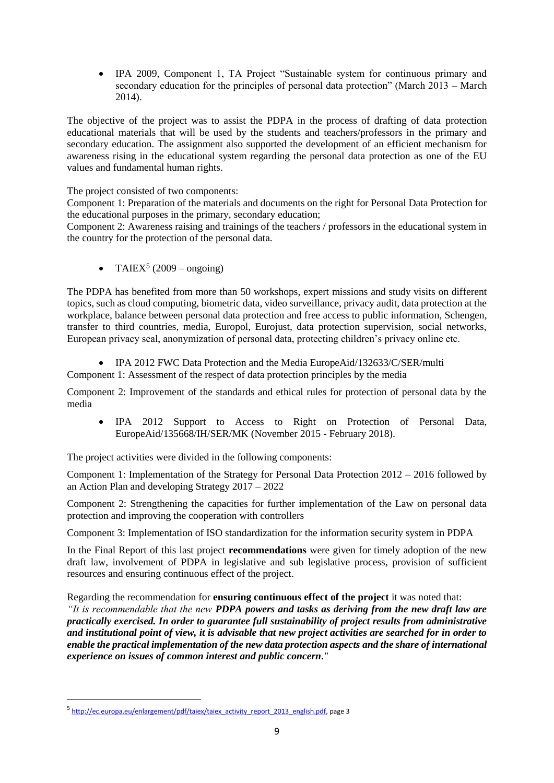IPA 2009, Component 1, TA Project "Sustainable system for continuous primary and secondary education for the principles of personal data protection" (March 2013 – March 2014).

The objective of the project was to assist the PDPA in the process of drafting of data protection educational materials that will be used by the students and teachers/professors in the primary and secondary education. The assignment also supported the development of an efficient mechanism for awareness rising in the educational system regarding the personal data protection as one of the EU values and fundamental human rights.

The project consisted of two components:

Component 1: Preparation of the materials and documents on the right for Personal Data Protection for the educational purposes in the primary, secondary education;

Component 2: Awareness raising and trainings of the teachers / professors in the educational system in the country for the protection of the personal data.

• TAIEX<sup>5</sup> (2009 – ongoing)

The PDPA has benefited from more than 50 workshops, expert missions and study visits on different topics, such as cloud computing, biometric data, video surveillance, privacy audit, data protection at the workplace, balance between personal data protection and free access to public information, Schengen, transfer to third countries, media, Europol, Eurojust, data protection supervision, social networks, European privacy seal, anonymization of personal data, protecting children's privacy online etc.

 IPA 2012 FWC Data Protection and the Media EuropeAid/132633/C/SER/multi Component 1: Assessment of the respect of data protection principles by the media

Component 2: Improvement of the standards and ethical rules for protection of personal data by the media

 IPA 2012 Support to Access to Right on Protection of Personal Data, EuropeAid/135668/IH/SER/MK (November 2015 - February 2018).

The project activities were divided in the following components:

Component 1: Implementation of the Strategy for Personal Data Protection 2012 – 2016 followed by an Action Plan and developing Strategy 2017 – 2022

Component 2: Strengthening the capacities for further implementation of the Law on personal data protection and improving the cooperation with controllers

Component 3: Implementation of ISO standardization for the information security system in PDPA

In the Final Report of this last project **recommendations** were given for timely adoption of the new draft law, involvement of PDPA in legislative and sub legislative process, provision of sufficient resources and ensuring continuous effect of the project.

Regarding the recommendation for **ensuring continuous effect of the project** it was noted that:

*"It is recommendable that the new PDPA powers and tasks as deriving from the new draft law are practically exercised. In order to guarantee full sustainability of project results from administrative and institutional point of view, it is advisable that new project activities are searched for in order to enable the practical implementation of the new data protection aspects and the share of international experience on issues of common interest and public concern***.***"*

**.** 

<sup>&</sup>lt;sup>5</sup> [http://ec.europa.eu/enlargement/pdf/taiex/taiex\\_activity\\_report\\_2013\\_english.pdf,](http://ec.europa.eu/enlargement/pdf/taiex/taiex_activity_report_2013_english.pdf) page 3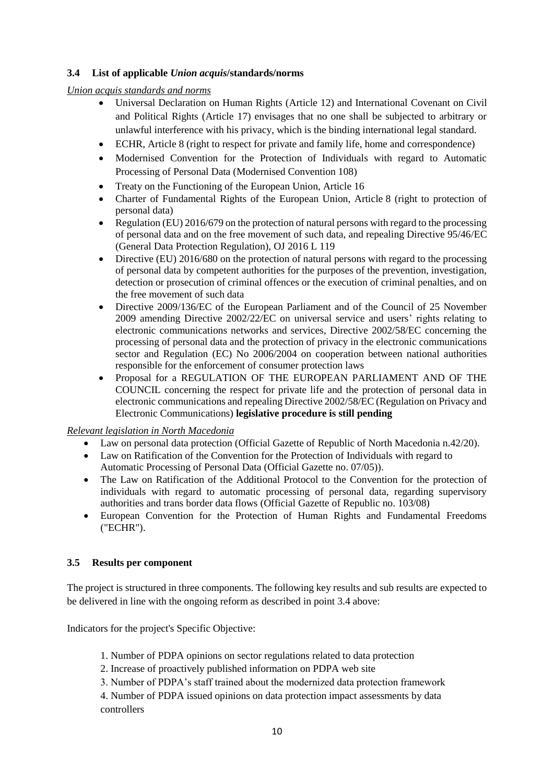## **3.4 List of applicable** *Union acquis***/standards/norms**

*Union acquis standards and norms*

- Universal Declaration on Human Rights (Article 12) and International Covenant on Civil and Political Rights (Article 17) envisages that no one shall be subjected to arbitrary or unlawful interference with his privacy, which is the binding international legal standard.
- ECHR, Article 8 (right to respect for private and family life, home and correspondence)
- Modernised Convention for the Protection of Individuals with regard to Automatic Processing of Personal Data (Modernised Convention 108)
- Treaty on the Functioning of the European Union, Article 16
- Charter of Fundamental Rights of the European Union, Article 8 (right to protection of personal data)
- Regulation (EU) 2016/679 on the protection of natural persons with regard to the processing of personal data and on the free movement of such data, and repealing Directive 95/46/EC (General Data Protection Regulation), OJ 2016 L 119
- Directive (EU) 2016/680 on the protection of natural persons with regard to the processing of personal data by competent authorities for the purposes of the prevention, investigation, detection or prosecution of criminal offences or the execution of criminal penalties, and on the free movement of such data
- Directive 2009/136/EC of the European Parliament and of the Council of 25 November 2009 amending Directive 2002/22/EC on universal service and users' rights relating to electronic communications networks and services, Directive 2002/58/EC concerning the processing of personal data and the protection of privacy in the electronic communications sector and Regulation (EC) No 2006/2004 on cooperation between national authorities responsible for the enforcement of consumer protection laws
- Proposal for a REGULATION OF THE EUROPEAN PARLIAMENT AND OF THE COUNCIL concerning the respect for private life and the protection of personal data in electronic communications and repealing Directive 2002/58/EC (Regulation on Privacy and Electronic Communications) **legislative procedure is still pending**

## *Relevant legislation in North Macedonia*

- Law on personal data protection (Official Gazette of Republic of North Macedonia n.42/20).
- Law on Ratification of the Convention for the Protection of Individuals with regard to Automatic Processing of Personal Data (Official Gazette no. 07/05)).
- The Law on Ratification of the Additional Protocol to the Convention for the protection of individuals with regard to automatic processing of personal data, regarding supervisory authorities and trans border data flows (Official Gazette of Republic no. 103/08)
- European Convention for the Protection of Human Rights and Fundamental Freedoms ("ECHR").

## **3.5 Results per component**

The project is structured in three components. The following key results and sub results are expected to be delivered in line with the ongoing reform as described in point 3.4 above:

Indicators for the project's Specific Objective:

- 1. Number of PDPA opinions on sector regulations related to data protection
- 2. Increase of proactively published information on PDPA web site
- 3. Number of PDPA's staff trained about the modernized data protection framework

4. Number of PDPA issued opinions on data protection impact assessments by data controllers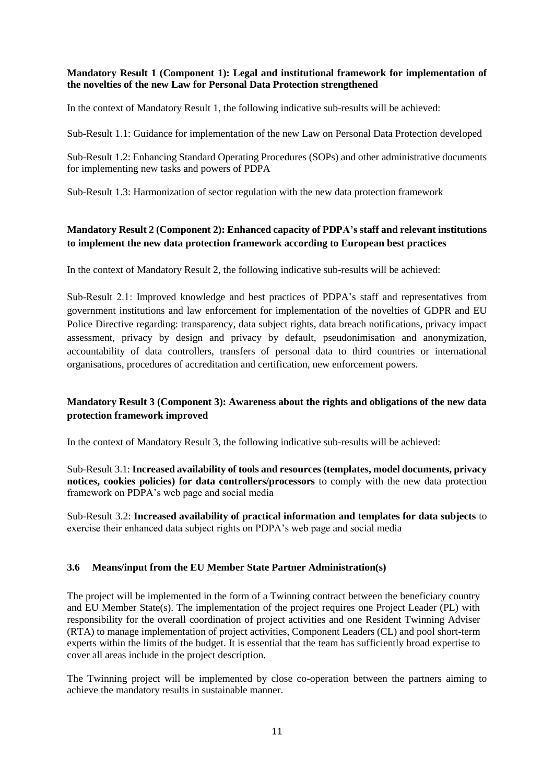### **Mandatory Result 1 (Component 1): Legal and institutional framework for implementation of the novelties of the new Law for Personal Data Protection strengthened**

In the context of Mandatory Result 1, the following indicative sub-results will be achieved:

Sub-Result 1.1: Guidance for implementation of the new Law on Personal Data Protection developed

Sub-Result 1.2: Enhancing Standard Operating Procedures (SOPs) and other administrative documents for implementing new tasks and powers of PDPA

Sub-Result 1.3: Harmonization of sector regulation with the new data protection framework

# **Mandatory Result 2 (Component 2): Enhanced capacity of PDPA's staff and relevant institutions to implement the new data protection framework according to European best practices**

In the context of Mandatory Result 2, the following indicative sub-results will be achieved:

Sub-Result 2.1: Improved knowledge and best practices of PDPA's staff and representatives from government institutions and law enforcement for implementation of the novelties of GDPR and EU Police Directive regarding: transparency, data subject rights, data breach notifications, privacy impact assessment, privacy by design and privacy by default, pseudonimisation and anonymization, accountability of data controllers, transfers of personal data to third countries or international organisations, procedures of accreditation and certification, new enforcement powers.

# **Mandatory Result 3 (Component 3): Awareness about the rights and obligations of the new data protection framework improved**

In the context of Mandatory Result 3, the following indicative sub-results will be achieved:

Sub-Result 3.1: **Increased availability of tools and resources (templates, model documents, privacy notices, cookies policies) for data controllers/processors** to comply with the new data protection framework on PDPA's web page and social media

Sub-Result 3.2: **Increased availability of practical information and templates for data subjects** to exercise their enhanced data subject rights on PDPA's web page and social media

## **3.6 Means/input from the EU Member State Partner Administration(s)**

The project will be implemented in the form of a Twinning contract between the beneficiary country and EU Member State(s). The implementation of the project requires one Project Leader (PL) with responsibility for the overall coordination of project activities and one Resident Twinning Adviser (RTA) to manage implementation of project activities, Component Leaders (CL) and pool short-term experts within the limits of the budget. It is essential that the team has sufficiently broad expertise to cover all areas include in the project description.

The Twinning project will be implemented by close co-operation between the partners aiming to achieve the mandatory results in sustainable manner.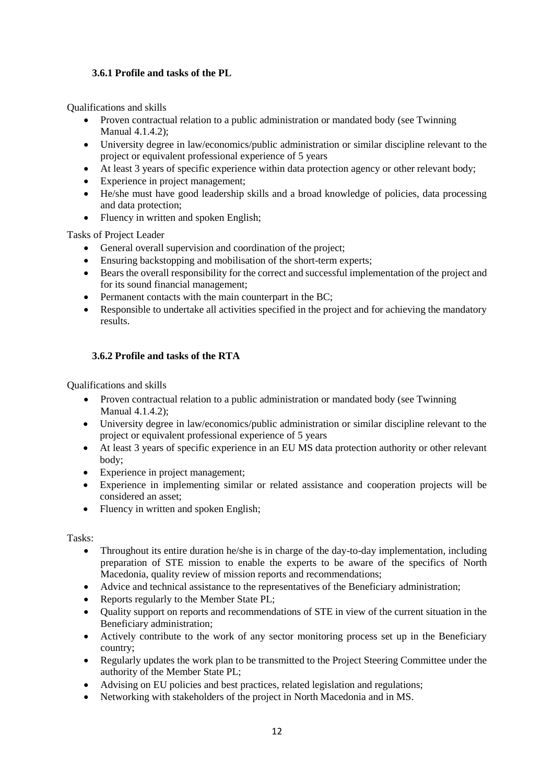## **3.6.1 Profile and tasks of the PL**

Qualifications and skills

- Proven contractual relation to a public administration or mandated body (see Twinning Manual 4.1.4.2);
- University degree in law/economics/public administration or similar discipline relevant to the project or equivalent professional experience of 5 years
- At least 3 years of specific experience within data protection agency or other relevant body;
- Experience in project management;
- He/she must have good leadership skills and a broad knowledge of policies, data processing and data protection;
- Fluency in written and spoken English;

Tasks of Project Leader

- General overall supervision and coordination of the project;
- Ensuring backstopping and mobilisation of the short-term experts;
- Bears the overall responsibility for the correct and successful implementation of the project and for its sound financial management;
- Permanent contacts with the main counterpart in the BC;
- Responsible to undertake all activities specified in the project and for achieving the mandatory results.

# **3.6.2 Profile and tasks of the RTA**

Qualifications and skills

- Proven contractual relation to a public administration or mandated body (see Twinning Manual 4.1.4.2);
- University degree in law/economics/public administration or similar discipline relevant to the project or equivalent professional experience of 5 years
- At least 3 years of specific experience in an EU MS data protection authority or other relevant body;
- Experience in project management;
- Experience in implementing similar or related assistance and cooperation projects will be considered an asset;
- Fluency in written and spoken English;

### Tasks:

- Throughout its entire duration he/she is in charge of the day-to-day implementation, including preparation of STE mission to enable the experts to be aware of the specifics of North Macedonia, quality review of mission reports and recommendations;
- Advice and technical assistance to the representatives of the Beneficiary administration;
- Reports regularly to the Member State PL;
- Quality support on reports and recommendations of STE in view of the current situation in the Beneficiary administration;
- Actively contribute to the work of any sector monitoring process set up in the Beneficiary country;
- Regularly updates the work plan to be transmitted to the Project Steering Committee under the authority of the Member State PL;
- Advising on EU policies and best practices, related legislation and regulations;
- Networking with stakeholders of the project in North Macedonia and in MS.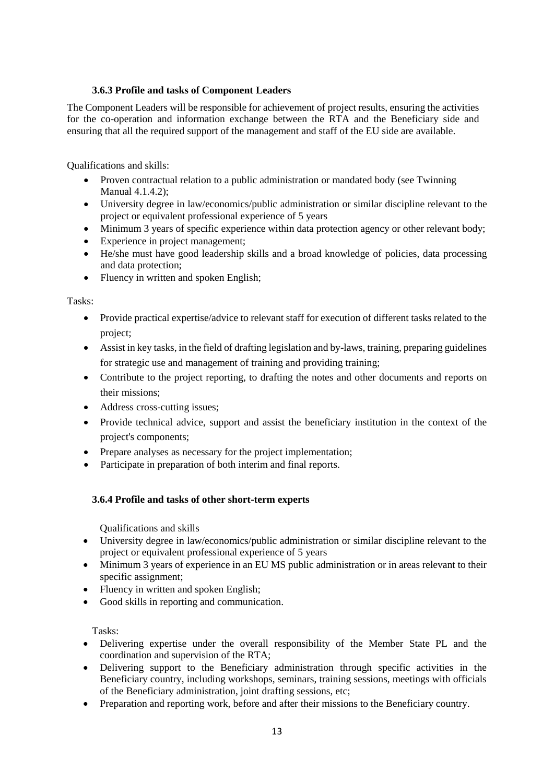## **3.6.3 Profile and tasks of Component Leaders**

The Component Leaders will be responsible for achievement of project results, ensuring the activities for the co-operation and information exchange between the RTA and the Beneficiary side and ensuring that all the required support of the management and staff of the EU side are available.

Qualifications and skills:

- Proven contractual relation to a public administration or mandated body (see Twinning Manual 4.1.4.2);
- University degree in law/economics/public administration or similar discipline relevant to the project or equivalent professional experience of 5 years
- Minimum 3 years of specific experience within data protection agency or other relevant body;
- Experience in project management;
- He/she must have good leadership skills and a broad knowledge of policies, data processing and data protection;
- Fluency in written and spoken English;

Tasks:

- Provide practical expertise/advice to relevant staff for execution of different tasks related to the project;
- Assist in key tasks, in the field of drafting legislation and by-laws, training, preparing guidelines for strategic use and management of training and providing training;
- Contribute to the project reporting, to drafting the notes and other documents and reports on their missions;
- Address cross-cutting issues;
- Provide technical advice, support and assist the beneficiary institution in the context of the project's components;
- Prepare analyses as necessary for the project implementation;
- Participate in preparation of both interim and final reports.

## **3.6.4 Profile and tasks of other short-term experts**

Qualifications and skills

- University degree in law/economics/public administration or similar discipline relevant to the project or equivalent professional experience of 5 years
- Minimum 3 years of experience in an EU MS public administration or in areas relevant to their specific assignment;
- Fluency in written and spoken English;
- Good skills in reporting and communication.

Tasks:

- Delivering expertise under the overall responsibility of the Member State PL and the coordination and supervision of the RTA;
- Delivering support to the Beneficiary administration through specific activities in the Beneficiary country, including workshops, seminars, training sessions, meetings with officials of the Beneficiary administration, joint drafting sessions, etc;
- Preparation and reporting work, before and after their missions to the Beneficiary country.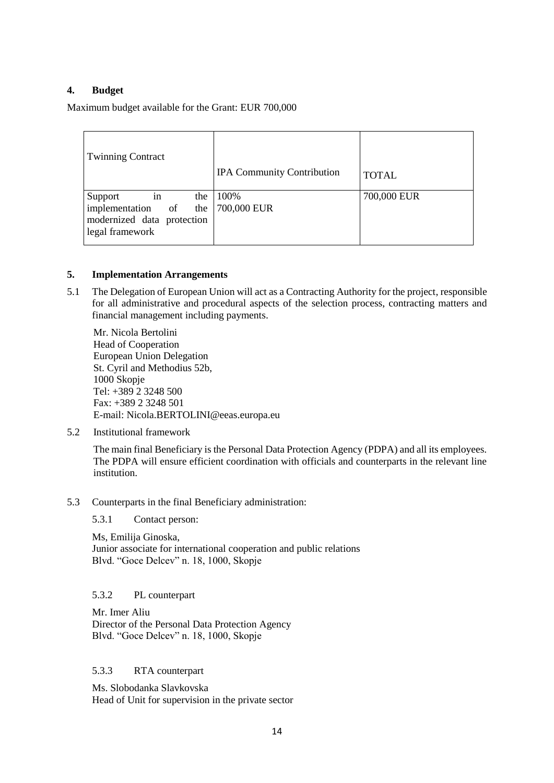## **4. Budget**

Maximum budget available for the Grant: EUR 700,000

| <b>Twinning Contract</b>                                                                              | <b>IPA Community Contribution</b> | <b>TOTAL</b> |
|-------------------------------------------------------------------------------------------------------|-----------------------------------|--------------|
| Support<br>in<br>implementation of the $700,000$ EUR<br>modernized data protection<br>legal framework | the 100%                          | 700,000 EUR  |

#### **5. Implementation Arrangements**

5.1 The Delegation of European Union will act as a Contracting Authority for the project, responsible for all administrative and procedural aspects of the selection process, contracting matters and financial management including payments.

Mr. Nicola Bertolini Head of Cooperation European Union Delegation St. Cyril and Methodius 52b, 1000 Skopje Tel: +389 2 3248 500 Fax: +389 2 3248 501 E-mail: Nicola.BERTOLINI@eeas.europa.eu

5.2 Institutional framework

The main final Beneficiary is the Personal Data Protection Agency (PDPA) and all its employees. The PDPA will ensure efficient coordination with officials and counterparts in the relevant line institution.

5.3 Counterparts in the final Beneficiary administration:

5.3.1 Contact person:

Ms, Emilija Ginoska, Junior associate for international cooperation and public relations Blvd. "Goce Delcev" n. 18, 1000, Skopje

### 5.3.2 PL counterpart

Mr. Imer Aliu Director of the Personal Data Protection Agency Blvd. "Goce Delcev" n. 18, 1000, Skopje

#### 5.3.3 RTA counterpart

Ms. Slobodanka Slavkovska Head of Unit for supervision in the private sector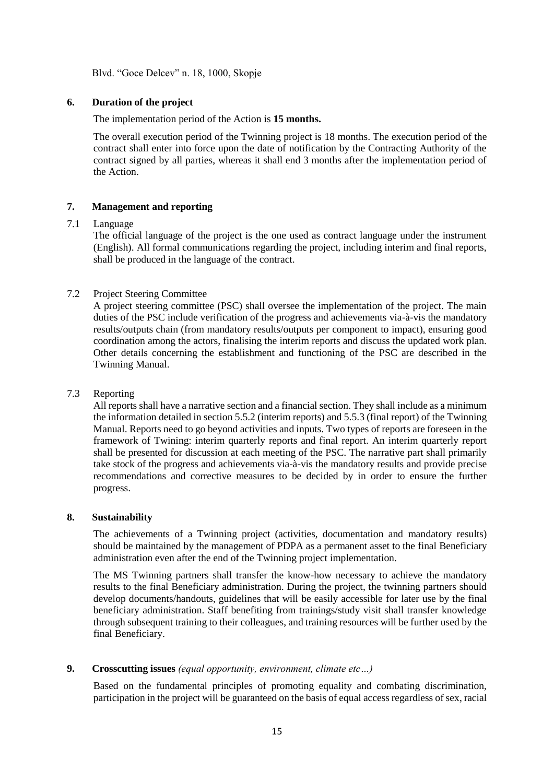Blvd. "Goce Delcev" n. 18, 1000, Skopje

### **6. Duration of the project**

The implementation period of the Action is **15 months.**

The overall execution period of the Twinning project is 18 months. The execution period of the contract shall enter into force upon the date of notification by the Contracting Authority of the contract signed by all parties, whereas it shall end 3 months after the implementation period of the Action.

### **7. Management and reporting**

### 7.1 Language

The official language of the project is the one used as contract language under the instrument (English). All formal communications regarding the project, including interim and final reports, shall be produced in the language of the contract.

### 7.2 Project Steering Committee

A project steering committee (PSC) shall oversee the implementation of the project. The main duties of the PSC include verification of the progress and achievements via-à-vis the mandatory results/outputs chain (from mandatory results/outputs per component to impact), ensuring good coordination among the actors, finalising the interim reports and discuss the updated work plan. Other details concerning the establishment and functioning of the PSC are described in the Twinning Manual.

### 7.3 Reporting

All reports shall have a narrative section and a financial section. They shall include as a minimum the information detailed in section 5.5.2 (interim reports) and 5.5.3 (final report) of the Twinning Manual. Reports need to go beyond activities and inputs. Two types of reports are foreseen in the framework of Twining: interim quarterly reports and final report. An interim quarterly report shall be presented for discussion at each meeting of the PSC. The narrative part shall primarily take stock of the progress and achievements via-à-vis the mandatory results and provide precise recommendations and corrective measures to be decided by in order to ensure the further progress.

### **8. Sustainability**

The achievements of a Twinning project (activities, documentation and mandatory results) should be maintained by the management of PDPA as a permanent asset to the final Beneficiary administration even after the end of the Twinning project implementation.

The MS Twinning partners shall transfer the know-how necessary to achieve the mandatory results to the final Beneficiary administration. During the project, the twinning partners should develop documents/handouts, guidelines that will be easily accessible for later use by the final beneficiary administration. Staff benefiting from trainings/study visit shall transfer knowledge through subsequent training to their colleagues, and training resources will be further used by the final Beneficiary.

### **9. Crosscutting issues** *(equal opportunity, environment, climate etc…)*

Based on the fundamental principles of promoting equality and combating discrimination, participation in the project will be guaranteed on the basis of equal access regardless of sex, racial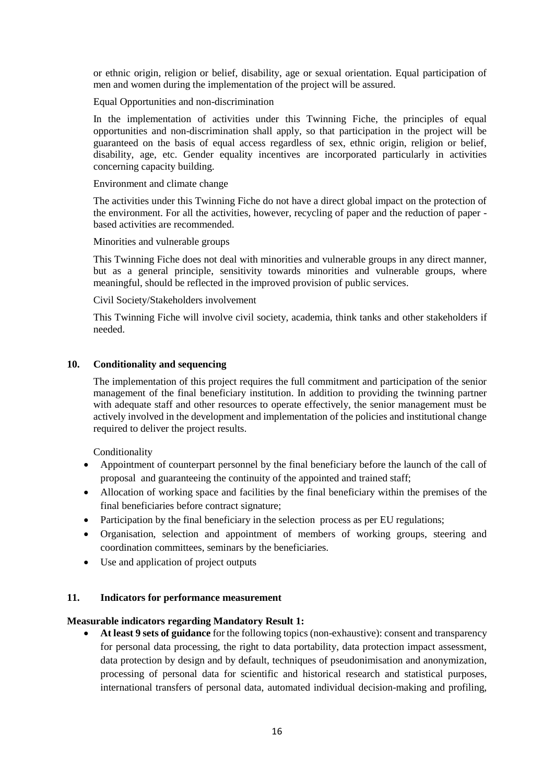or ethnic origin, religion or belief, disability, age or sexual orientation. Equal participation of men and women during the implementation of the project will be assured.

Equal Opportunities and non-discrimination

In the implementation of activities under this Twinning Fiche, the principles of equal opportunities and non-discrimination shall apply, so that participation in the project will be guaranteed on the basis of equal access regardless of sex, ethnic origin, religion or belief, disability, age, etc. Gender equality incentives are incorporated particularly in activities concerning capacity building.

Environment and climate change

The activities under this Twinning Fiche do not have a direct global impact on the protection of the environment. For all the activities, however, recycling of paper and the reduction of paper based activities are recommended.

Minorities and vulnerable groups

This Twinning Fiche does not deal with minorities and vulnerable groups in any direct manner, but as a general principle, sensitivity towards minorities and vulnerable groups, where meaningful, should be reflected in the improved provision of public services.

Civil Society/Stakeholders involvement

This Twinning Fiche will involve civil society, academia, think tanks and other stakeholders if needed.

### **10. Conditionality and sequencing**

The implementation of this project requires the full commitment and participation of the senior management of the final beneficiary institution. In addition to providing the twinning partner with adequate staff and other resources to operate effectively, the senior management must be actively involved in the development and implementation of the policies and institutional change required to deliver the project results.

**Conditionality** 

- Appointment of counterpart personnel by the final beneficiary before the launch of the call of proposal and guaranteeing the continuity of the appointed and trained staff;
- Allocation of working space and facilities by the final beneficiary within the premises of the final beneficiaries before contract signature;
- Participation by the final beneficiary in the selection process as per EU regulations;
- Organisation, selection and appointment of members of working groups, steering and coordination committees, seminars by the beneficiaries.
- Use and application of project outputs

### **11. Indicators for performance measurement**

### **Measurable indicators regarding Mandatory Result 1:**

 **At least 9 sets of guidance** for the following topics (non-exhaustive): consent and transparency for personal data processing, the right to data portability, data protection impact assessment, data protection by design and by default, techniques of pseudonimisation and anonymization, processing of personal data for scientific and historical research and statistical purposes, international transfers of personal data, automated individual decision-making and profiling,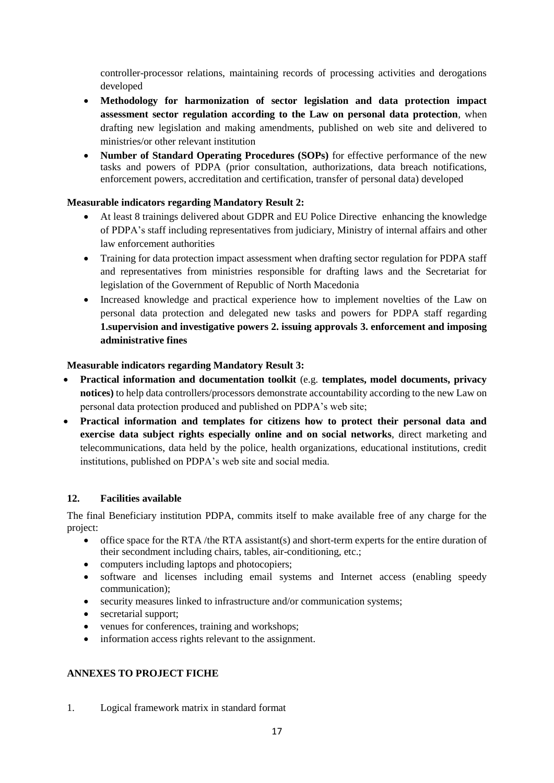controller-processor relations, maintaining records of processing activities and derogations developed

- **Methodology for harmonization of sector legislation and data protection impact assessment sector regulation according to the Law on personal data protection**, when drafting new legislation and making amendments, published on web site and delivered to ministries/or other relevant institution
- **Number of Standard Operating Procedures (SOPs)** for effective performance of the new tasks and powers of PDPA (prior consultation, authorizations, data breach notifications, enforcement powers, accreditation and certification, transfer of personal data) developed

## **Measurable indicators regarding Mandatory Result 2:**

- At least 8 trainings delivered about GDPR and EU Police Directive enhancing the knowledge of PDPA's staff including representatives from judiciary, Ministry of internal affairs and other law enforcement authorities
- Training for data protection impact assessment when drafting sector regulation for PDPA staff and representatives from ministries responsible for drafting laws and the Secretariat for legislation of the Government of Republic of North Macedonia
- Increased knowledge and practical experience how to implement novelties of the Law on personal data protection and delegated new tasks and powers for PDPA staff regarding **1.supervision and investigative powers 2. issuing approvals 3. enforcement and imposing administrative fines**

# **Measurable indicators regarding Mandatory Result 3:**

- **Practical information and documentation toolkit** (e.g. **templates, model documents, privacy notices)** to help data controllers/processors demonstrate accountability according to the new Law on personal data protection produced and published on PDPA's web site;
- **Practical information and templates for citizens how to protect their personal data and exercise data subject rights especially online and on social networks**, direct marketing and telecommunications, data held by the police, health organizations, educational institutions, credit institutions, published on PDPA's web site and social media.

## **12. Facilities available**

The final Beneficiary institution PDPA, commits itself to make available free of any charge for the project:

- office space for the RTA /the RTA assistant(s) and short-term experts for the entire duration of their secondment including chairs, tables, air-conditioning, etc.;
- computers including laptops and photocopiers;
- software and licenses including email systems and Internet access (enabling speedy communication);
- security measures linked to infrastructure and/or communication systems;
- secretarial support;
- venues for conferences, training and workshops;
- information access rights relevant to the assignment*.*

# **ANNEXES TO PROJECT FICHE**

1. Logical framework matrix in standard format